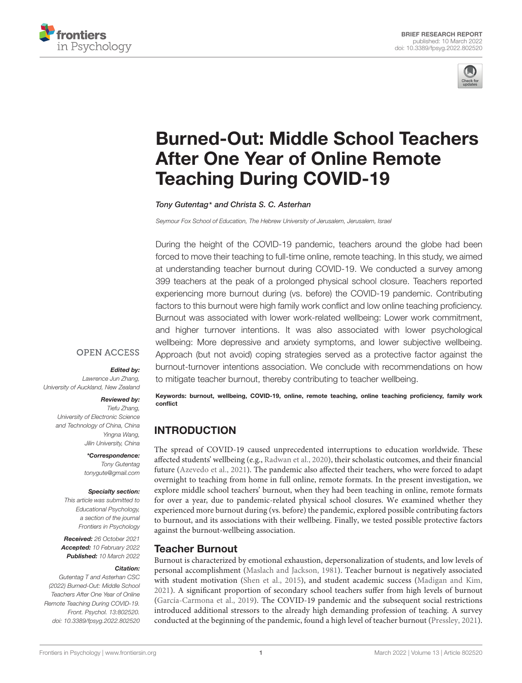



# [Burned-Out: Middle School Teachers](https://www.frontiersin.org/articles/10.3389/fpsyg.2022.802520/full) After One Year of Online Remote Teaching During COVID-19

Tony Gutentag\* and Christa S. C. Asterhan

Seymour Fox School of Education, The Hebrew University of Jerusalem, Jerusalem, Israel

During the height of the COVID-19 pandemic, teachers around the globe had been forced to move their teaching to full-time online, remote teaching. In this study, we aimed at understanding teacher burnout during COVID-19. We conducted a survey among 399 teachers at the peak of a prolonged physical school closure. Teachers reported experiencing more burnout during (vs. before) the COVID-19 pandemic. Contributing factors to this burnout were high family work conflict and low online teaching proficiency. Burnout was associated with lower work-related wellbeing: Lower work commitment, and higher turnover intentions. It was also associated with lower psychological wellbeing: More depressive and anxiety symptoms, and lower subjective wellbeing. Approach (but not avoid) coping strategies served as a protective factor against the burnout-turnover intentions association. We conclude with recommendations on how to mitigate teacher burnout, thereby contributing to teacher wellbeing.

### **OPEN ACCESS**

#### Edited by:

Lawrence Jun Zhang, University of Auckland, New Zealand

#### Reviewed by:

Tiefu Zhang, University of Electronic Science and Technology of China, China Yingna Wang, Jilin University, China

> \*Correspondence: Tony Gutentag tonygute@gmail.com

#### Specialty section:

This article was submitted to Educational Psychology, a section of the journal Frontiers in Psychology

Received: 26 October 2021 Accepted: 10 February 2022 Published: 10 March 2022

#### Citation:

Gutentag T and Asterhan CSC (2022) Burned-Out: Middle School Teachers After One Year of Online Remote Teaching During COVID-19. Front. Psychol. 13:802520. doi: [10.3389/fpsyg.2022.802520](https://doi.org/10.3389/fpsyg.2022.802520)

Keywords: burnout, wellbeing, COVID-19, online, remote teaching, online teaching proficiency, family work conflict

# **INTRODUCTION**

The spread of COVID-19 caused unprecedented interruptions to education worldwide. These affected students' wellbeing (e.g., [Radwan et al.,](#page-5-0) [2020\)](#page-5-0), their scholastic outcomes, and their financial future [\(Azevedo et al.,](#page-4-0) [2021\)](#page-4-0). The pandemic also affected their teachers, who were forced to adapt overnight to teaching from home in full online, remote formats. In the present investigation, we explore middle school teachers' burnout, when they had been teaching in online, remote formats for over a year, due to pandemic-related physical school closures. We examined whether they experienced more burnout during (vs. before) the pandemic, explored possible contributing factors to burnout, and its associations with their wellbeing. Finally, we tested possible protective factors against the burnout-wellbeing association.

# Teacher Burnout

Burnout is characterized by emotional exhaustion, depersonalization of students, and low levels of personal accomplishment [\(Maslach and Jackson,](#page-5-1) [1981\)](#page-5-1). Teacher burnout is negatively associated with student motivation [\(Shen et al.,](#page-5-2) [2015\)](#page-5-2), and student academic success [\(Madigan and Kim,](#page-5-3) [2021\)](#page-5-3). A significant proportion of secondary school teachers suffer from high levels of burnout [\(García-Carmona et al.,](#page-5-4) [2019\)](#page-5-4). The COVID-19 pandemic and the subsequent social restrictions introduced additional stressors to the already high demanding profession of teaching. A survey conducted at the beginning of the pandemic, found a high level of teacher burnout [\(Pressley,](#page-5-5) [2021\)](#page-5-5).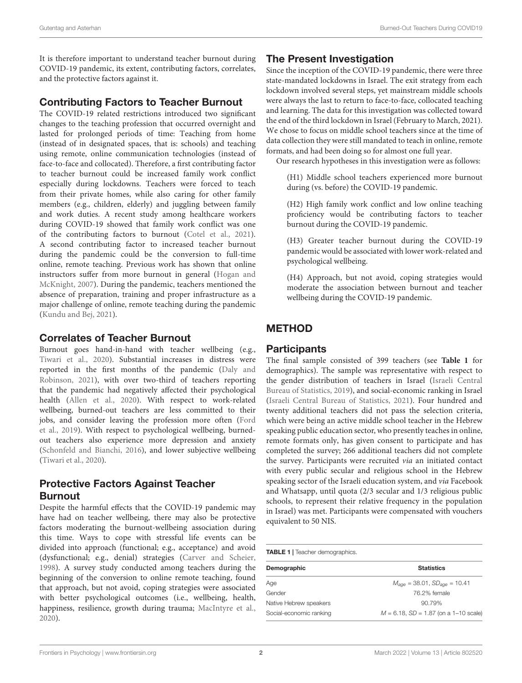It is therefore important to understand teacher burnout during COVID-19 pandemic, its extent, contributing factors, correlates, and the protective factors against it.

# Contributing Factors to Teacher Burnout

The COVID-19 related restrictions introduced two significant changes to the teaching profession that occurred overnight and lasted for prolonged periods of time: Teaching from home (instead of in designated spaces, that is: schools) and teaching using remote, online communication technologies (instead of face-to-face and collocated). Therefore, a first contributing factor to teacher burnout could be increased family work conflict especially during lockdowns. Teachers were forced to teach from their private homes, while also caring for other family members (e.g., children, elderly) and juggling between family and work duties. A recent study among healthcare workers during COVID-19 showed that family work conflict was one of the contributing factors to burnout [\(Cotel et al.,](#page-5-6) [2021\)](#page-5-6). A second contributing factor to increased teacher burnout during the pandemic could be the conversion to full-time online, remote teaching. Previous work has shown that online instructors suffer from more burnout in general [\(Hogan and](#page-5-7) [McKnight,](#page-5-7) [2007\)](#page-5-7). During the pandemic, teachers mentioned the absence of preparation, training and proper infrastructure as a major challenge of online, remote teaching during the pandemic [\(Kundu and Bej,](#page-5-8) [2021\)](#page-5-8).

# Correlates of Teacher Burnout

Burnout goes hand-in-hand with teacher wellbeing (e.g., [Tiwari et al.,](#page-5-9) [2020\)](#page-5-9). Substantial increases in distress were reported in the first months of the pandemic [\(Daly and](#page-5-10) [Robinson,](#page-5-10) [2021\)](#page-5-10), with over two-third of teachers reporting that the pandemic had negatively affected their psychological health [\(Allen et al.,](#page-4-1) [2020\)](#page-4-1). With respect to work-related wellbeing, burned-out teachers are less committed to their jobs, and consider leaving the profession more often [\(Ford](#page-5-11) [et al.,](#page-5-11) [2019\)](#page-5-11). With respect to psychological wellbeing, burnedout teachers also experience more depression and anxiety [\(Schonfeld and Bianchi,](#page-5-12) [2016\)](#page-5-12), and lower subjective wellbeing [\(Tiwari et al.,](#page-5-9) [2020\)](#page-5-9).

# Protective Factors Against Teacher Burnout

Despite the harmful effects that the COVID-19 pandemic may have had on teacher wellbeing, there may also be protective factors moderating the burnout-wellbeing association during this time. Ways to cope with stressful life events can be divided into approach (functional; e.g., acceptance) and avoid (dysfunctional; e.g., denial) strategies [\(Carver and Scheier,](#page-5-13) [1998\)](#page-5-13). A survey study conducted among teachers during the beginning of the conversion to online remote teaching, found that approach, but not avoid, coping strategies were associated with better psychological outcomes (i.e., wellbeing, health, happiness, resilience, growth during trauma; [MacIntyre et al.,](#page-5-14) [2020\)](#page-5-14).

# The Present Investigation

Since the inception of the COVID-19 pandemic, there were three state-mandated lockdowns in Israel. The exit strategy from each lockdown involved several steps, yet mainstream middle schools were always the last to return to face-to-face, collocated teaching and learning. The data for this investigation was collected toward the end of the third lockdown in Israel (February to March, 2021). We chose to focus on middle school teachers since at the time of data collection they were still mandated to teach in online, remote formats, and had been doing so for almost one full year.

Our research hypotheses in this investigation were as follows:

(H1) Middle school teachers experienced more burnout during (vs. before) the COVID-19 pandemic.

(H2) High family work conflict and low online teaching proficiency would be contributing factors to teacher burnout during the COVID-19 pandemic.

(H3) Greater teacher burnout during the COVID-19 pandemic would be associated with lower work-related and psychological wellbeing.

(H4) Approach, but not avoid, coping strategies would moderate the association between burnout and teacher wellbeing during the COVID-19 pandemic.

# METHOD

# **Participants**

The final sample consisted of 399 teachers (see **[Table 1](#page-1-0)** for demographics). The sample was representative with respect to the gender distribution of teachers in Israel [\(Israeli Central](#page-5-15) [Bureau of Statistics,](#page-5-15) [2019\)](#page-5-15), and social-economic ranking in Israel [\(Israeli Central Bureau of Statistics,](#page-5-16) [2021\)](#page-5-16). Four hundred and twenty additional teachers did not pass the selection criteria, which were being an active middle school teacher in the Hebrew speaking public education sector, who presently teaches in online, remote formats only, has given consent to participate and has completed the survey; 266 additional teachers did not complete the survey. Participants were recruited via an initiated contact with every public secular and religious school in the Hebrew speaking sector of the Israeli education system, and via Facebook and Whatsapp, until quota (2/3 secular and 1/3 religious public schools, to represent their relative frequency in the population in Israel) was met. Participants were compensated with vouchers equivalent to 50 NIS.

<span id="page-1-0"></span>TABLE 1 | Teacher demographics.

| Demographic             | <b>Statistics</b><br>$M_{a\alpha e} = 38.01$ , $SD_{a\alpha e} = 10.41$ |  |  |  |  |  |  |
|-------------------------|-------------------------------------------------------------------------|--|--|--|--|--|--|
| Age                     |                                                                         |  |  |  |  |  |  |
| Gender                  | 76.2% female                                                            |  |  |  |  |  |  |
| Native Hebrew speakers  | 90.79%                                                                  |  |  |  |  |  |  |
| Social-economic ranking | $M = 6.18$ , $SD = 1.87$ (on a 1-10 scale)                              |  |  |  |  |  |  |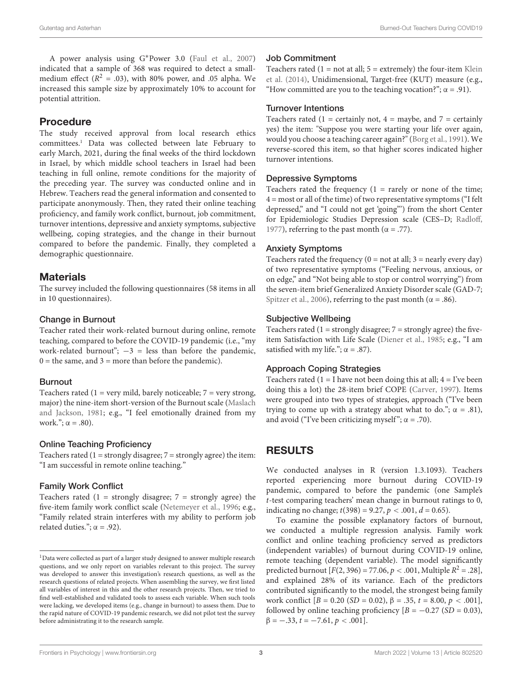A power analysis using G∗Power 3.0 [\(Faul et al.,](#page-5-17) [2007\)](#page-5-17) indicated that a sample of 368 was required to detect a smallmedium effect ( $R^2 = .03$ ), with 80% power, and .05 alpha. We increased this sample size by approximately 10% to account for potential attrition.

### Procedure

The study received approval from local research ethics committees.[1](#page-2-0) Data was collected between late February to early March, 2021, during the final weeks of the third lockdown in Israel, by which middle school teachers in Israel had been teaching in full online, remote conditions for the majority of the preceding year. The survey was conducted online and in Hebrew. Teachers read the general information and consented to participate anonymously. Then, they rated their online teaching proficiency, and family work conflict, burnout, job commitment, turnover intentions, depressive and anxiety symptoms, subjective wellbeing, coping strategies, and the change in their burnout compared to before the pandemic. Finally, they completed a demographic questionnaire.

### **Materials**

The survey included the following questionnaires (58 items in all in 10 questionnaires).

#### Change in Burnout

Teacher rated their work-related burnout during online, remote teaching, compared to before the COVID-19 pandemic (i.e., "my work-related burnout";  $-3$  = less than before the pandemic,  $0 =$  the same, and  $3 =$  more than before the pandemic).

#### Burnout

Teachers rated (1 = very mild, barely noticeable;  $7$  = very strong, major) the nine-item short-version of the Burnout scale [\(Maslach](#page-5-1) [and Jackson,](#page-5-1) [1981;](#page-5-1) e.g., "I feel emotionally drained from my work.";  $\alpha = .80$ ).

#### Online Teaching Proficiency

Teachers rated  $(1 =$  strongly disagree;  $7 =$  strongly agree) the item: "I am successful in remote online teaching."

#### Family Work Conflict

Teachers rated  $(1 =$  strongly disagree;  $7 =$  strongly agree) the five-item family work conflict scale [\(Netemeyer et al.,](#page-5-18) [1996;](#page-5-18) e.g., "Family related strain interferes with my ability to perform job related duties.";  $\alpha$  = .92).

#### Job Commitment

Teachers rated  $(1 = not at all; 5 = extremely)$  the four-item [Klein](#page-5-19) [et al.](#page-5-19) [\(2014\)](#page-5-19), Unidimensional, Target-free (KUT) measure (e.g., "How committed are you to the teaching vocation?";  $\alpha = .91$ ).

#### Turnover Intentions

Teachers rated (1 = certainly not,  $4 =$  maybe, and  $7 =$  certainly yes) the item: "Suppose you were starting your life over again, would you choose a teaching career again?" [\(Borg et al.,](#page-4-2) [1991\)](#page-4-2). We reverse-scored this item, so that higher scores indicated higher turnover intentions.

#### Depressive Symptoms

Teachers rated the frequency  $(1 = \text{rarely or none of the time};$ 4 = most or all of the time) of two representative symptoms ("I felt depressed," and "I could not get 'going"') from the short Center for Epidemiologic Studies Depression scale (CES–D; [Radloff,](#page-5-20) [1977\)](#page-5-20), referring to the past month ( $\alpha = .77$ ).

#### Anxiety Symptoms

Teachers rated the frequency  $(0 = not at all; 3 = nearly every day)$ of two representative symptoms ("Feeling nervous, anxious, or on edge," and "Not being able to stop or control worrying") from the seven-item brief Generalized Anxiety Disorder scale (GAD-7; [Spitzer et al.,](#page-5-21) [2006\)](#page-5-21), referring to the past month ( $\alpha = .86$ ).

#### Subjective Wellbeing

Teachers rated  $(1 =$  strongly disagree;  $7 =$  strongly agree) the fiveitem Satisfaction with Life Scale [\(Diener et al.,](#page-5-22) [1985;](#page-5-22) e.g., "I am satisfied with my life.";  $\alpha = .87$ ).

#### Approach Coping Strategies

Teachers rated  $(1 = I$  have not been doing this at all;  $4 = I$ 've been doing this a lot) the 28-item brief COPE [\(Carver,](#page-5-23) [1997\)](#page-5-23). Items were grouped into two types of strategies, approach ("I've been trying to come up with a strategy about what to do.";  $\alpha = .81$ ), and avoid ("I've been criticizing myself";  $\alpha = .70$ ).

# RESULTS

We conducted analyses in R (version 1.3.1093). Teachers reported experiencing more burnout during COVID-19 pandemic, compared to before the pandemic (one Sample's t-test comparing teachers' mean change in burnout ratings to 0, indicating no change;  $t(398) = 9.27$ ,  $p < .001$ ,  $d = 0.65$ ).

To examine the possible explanatory factors of burnout, we conducted a multiple regression analysis. Family work conflict and online teaching proficiency served as predictors (independent variables) of burnout during COVID-19 online, remote teaching (dependent variable). The model significantly predicted burnout  $[F(2, 396) = 77.06, p < .001,$  Multiple  $R^2 = .28$ ], and explained 28% of its variance. Each of the predictors contributed significantly to the model, the strongest being family work conflict  $[B = 0.20 \ (SD = 0.02), \beta = .35, t = 8.00, p < .001]$ , followed by online teaching proficiency  $[B = -0.27 \text{ (SD = 0.03)},$  $\beta = -.33, t = -7.61, p < .001$ .

<span id="page-2-0"></span><sup>&</sup>lt;sup>1</sup>Data were collected as part of a larger study designed to answer multiple research questions, and we only report on variables relevant to this project. The survey was developed to answer this investigation's research questions, as well as the research questions of related projects. When assembling the survey, we first listed all variables of interest in this and the other research projects. Then, we tried to find well-established and validated tools to assess each variable. When such tools were lacking, we developed items (e.g., change in burnout) to assess them. Due to the rapid nature of COVID-19 pandemic research, we did not pilot test the survey before administrating it to the research sample.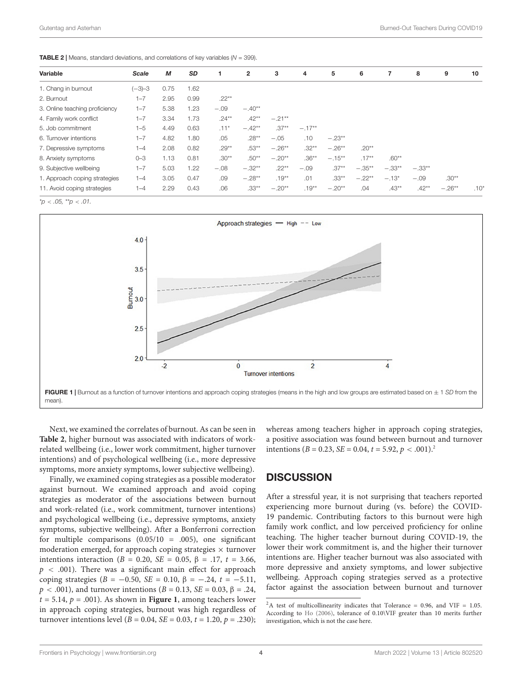<span id="page-3-0"></span>**TABLE 2** | Means, standard deviations, and correlations of key variables ( $N = 399$ ).

| Variable                       | Scale    | M    | <b>SD</b> | 1        | $\mathbf{2}$ | з        | 4        | 5         | 6        | 7        | 8        | 9        | 10               |
|--------------------------------|----------|------|-----------|----------|--------------|----------|----------|-----------|----------|----------|----------|----------|------------------|
| 1. Chang in burnout            | $(-3)-3$ | 0.75 | 1.62      |          |              |          |          |           |          |          |          |          |                  |
| 2. Burnout                     | $1 - 7$  | 2.95 | 0.99      | $.22***$ |              |          |          |           |          |          |          |          |                  |
| 3. Online teaching proficiency | $1 - 7$  | 5.38 | 1.23      | $-.09$   | $-.40**$     |          |          |           |          |          |          |          |                  |
| 4. Family work conflict        | $1 - 7$  | 3.34 | 1.73      | $.24**$  | $.42**$      | $-.21**$ |          |           |          |          |          |          |                  |
| 5. Job commitment              | $1 - 5$  | 4.49 | 0.63      | $.11*$   | $-.42**$     | $.37**$  | $-.17**$ |           |          |          |          |          |                  |
| 6. Turnover intentions         | $1 - 7$  | 4.82 | 1.80      | .05      | $.28**$      | $-.05$   | .10      | $-.23**$  |          |          |          |          |                  |
| 7. Depressive symptoms         | $1 - 4$  | 2.08 | 0.82      | $.29**$  | $.53***$     | $-.26**$ | $.32**$  | $-.26**$  | $.20**$  |          |          |          |                  |
| 8. Anxiety symptoms            | $0 - 3$  | 1.13 | 0.81      | $.30**$  | $.50**$      | $-.20**$ | $.36***$ | $-.15***$ | $.17**$  | $.60**$  |          |          |                  |
| 9. Subjective wellbeing        | $1 - 7$  | 5.03 | 1.22      | $-.08$   | $-.32**$     | $.22***$ | $-.09$   | $.37**$   | $-.35**$ | $-.33**$ | $-.33**$ |          |                  |
| 1. Approach coping strategies  | $1 - 4$  | 3.05 | 0.47      | .09      | $-.28**$     | $.19***$ | .01      | $.33***$  | $-.22**$ | $-.13*$  | $-.09$   | $.30**$  |                  |
| 11. Avoid coping strategies    | $1 - 4$  | 2.29 | 0.43      | .06      | $.33**$      | $-.20**$ | $.19**$  | $-.20**$  | .04      | $.43**$  | $.42**$  | $-.26**$ | .10 <sup>°</sup> |

 $*_{p}$  < .05,  $*_{p}$  < .01.



<span id="page-3-1"></span>Next, we examined the correlates of burnout. As can be seen in **[Table 2](#page-3-0)**, higher burnout was associated with indicators of workrelated wellbeing (i.e., lower work commitment, higher turnover intentions) and of psychological wellbeing (i.e., more depressive symptoms, more anxiety symptoms, lower subjective wellbeing).

Finally, we examined coping strategies as a possible moderator against burnout. We examined approach and avoid coping strategies as moderator of the associations between burnout and work-related (i.e., work commitment, turnover intentions) and psychological wellbeing (i.e., depressive symptoms, anxiety symptoms, subjective wellbeing). After a Bonferroni correction for multiple comparisons  $(0.05/10 = .005)$ , one significant moderation emerged, for approach coping strategies  $\times$  turnover intentions interaction (B = 0.20, SE = 0.05, β = .17, t = 3.66,  $p \lt 0.001$ ). There was a significant main effect for approach coping strategies (B = −0.50, SE = 0.10, β = −.24, t = −5.11,  $p < .001$ ), and turnover intentions ( $B = 0.13$ ,  $SE = 0.03$ ,  $\beta = .24$ ,  $t = 5.14$ ,  $p = .001$ ). As shown in **[Figure 1](#page-3-1)**, among teachers lower in approach coping strategies, burnout was high regardless of turnover intentions level ( $B = 0.04$ ,  $SE = 0.03$ ,  $t = 1.20$ ,  $p = .230$ ); whereas among teachers higher in approach coping strategies, a positive association was found between burnout and turnover intentions ( $B = 0.23$  $B = 0.23$  $B = 0.23$ ,  $SE = 0.04$ ,  $t = 5.92$ ,  $p < .001$ ).<sup>2</sup>

# **DISCUSSION**

After a stressful year, it is not surprising that teachers reported experiencing more burnout during (vs. before) the COVID-19 pandemic. Contributing factors to this burnout were high family work conflict, and low perceived proficiency for online teaching. The higher teacher burnout during COVID-19, the lower their work commitment is, and the higher their turnover intentions are. Higher teacher burnout was also associated with more depressive and anxiety symptoms, and lower subjective wellbeing. Approach coping strategies served as a protective factor against the association between burnout and turnover

<span id="page-3-2"></span> ${}^{2}$ A test of multicollinearity indicates that Tolerance = 0.96, and VIF = 1.05. According to [Ho](#page-5-24) [\(2006\)](#page-5-24), tolerance of 0.10\VIF greater than 10 merits further investigation, which is not the case here.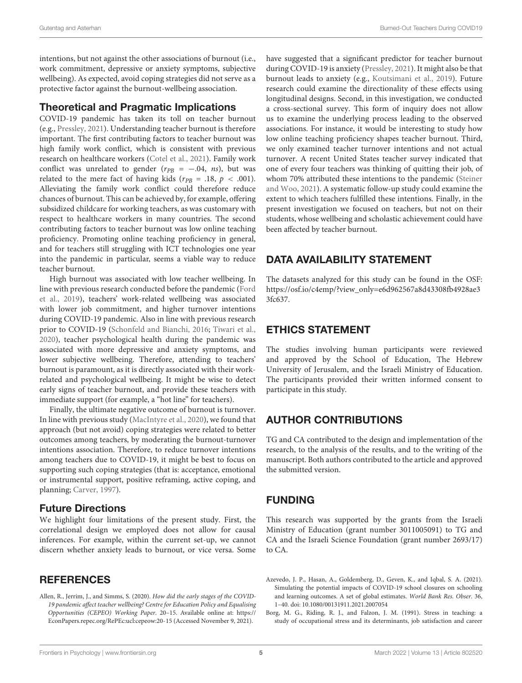intentions, but not against the other associations of burnout (i.e., work commitment, depressive or anxiety symptoms, subjective wellbeing). As expected, avoid coping strategies did not serve as a protective factor against the burnout-wellbeing association.

### Theoretical and Pragmatic Implications

COVID-19 pandemic has taken its toll on teacher burnout (e.g., [Pressley,](#page-5-5) [2021\)](#page-5-5). Understanding teacher burnout is therefore important. The first contributing factors to teacher burnout was high family work conflict, which is consistent with previous research on healthcare workers [\(Cotel et al.,](#page-5-6) [2021\)](#page-5-6). Family work conflict was unrelated to gender ( $r_{PB} = -.04$ , ns), but was related to the mere fact of having kids ( $r_{PB} = .18$ ,  $p < .001$ ). Alleviating the family work conflict could therefore reduce chances of burnout. This can be achieved by, for example, offering subsidized childcare for working teachers, as was customary with respect to healthcare workers in many countries. The second contributing factors to teacher burnout was low online teaching proficiency. Promoting online teaching proficiency in general, and for teachers still struggling with ICT technologies one year into the pandemic in particular, seems a viable way to reduce teacher burnout.

High burnout was associated with low teacher wellbeing. In line with previous research conducted before the pandemic [\(Ford](#page-5-11) [et al.,](#page-5-11) [2019\)](#page-5-11), teachers' work-related wellbeing was associated with lower job commitment, and higher turnover intentions during COVID-19 pandemic. Also in line with previous research prior to COVID-19 [\(Schonfeld and Bianchi,](#page-5-12) [2016;](#page-5-12) [Tiwari et al.,](#page-5-9) [2020\)](#page-5-9), teacher psychological health during the pandemic was associated with more depressive and anxiety symptoms, and lower subjective wellbeing. Therefore, attending to teachers' burnout is paramount, as it is directly associated with their workrelated and psychological wellbeing. It might be wise to detect early signs of teacher burnout, and provide these teachers with immediate support (for example, a "hot line" for teachers).

Finally, the ultimate negative outcome of burnout is turnover. In line with previous study [\(MacIntyre et al.,](#page-5-14) [2020\)](#page-5-14), we found that approach (but not avoid) coping strategies were related to better outcomes among teachers, by moderating the burnout-turnover intentions association. Therefore, to reduce turnover intentions among teachers due to COVID-19, it might be best to focus on supporting such coping strategies (that is: acceptance, emotional or instrumental support, positive reframing, active coping, and planning; [Carver,](#page-5-23) [1997\)](#page-5-23).

### Future Directions

We highlight four limitations of the present study. First, the correlational design we employed does not allow for causal inferences. For example, within the current set-up, we cannot discern whether anxiety leads to burnout, or vice versa. Some

# **REFERENCES**

<span id="page-4-1"></span>Allen, R., Jerrim, J., and Simms, S. (2020). How did the early stages of the COVID-19 pandemic affect teacher wellbeing? Centre for Education Policy and Equalising Opportunities (CEPEO) Working Paper. 20–15. Available online at: [https://](https://EconPapers.repec.org/RePEc:ucl:cepeow:20-15) [EconPapers.repec.org/RePEc:ucl:cepeow:20-15](https://EconPapers.repec.org/RePEc:ucl:cepeow:20-15) (Accessed November 9, 2021).

have suggested that a significant predictor for teacher burnout during COVID-19 is anxiety [\(Pressley,](#page-5-5) [2021\)](#page-5-5). It might also be that burnout leads to anxiety (e.g., [Koutsimani et al.,](#page-5-25) [2019\)](#page-5-25). Future research could examine the directionality of these effects using longitudinal designs. Second, in this investigation, we conducted a cross-sectional survey. This form of inquiry does not allow us to examine the underlying process leading to the observed associations. For instance, it would be interesting to study how low online teaching proficiency shapes teacher burnout. Third, we only examined teacher turnover intentions and not actual turnover. A recent United States teacher survey indicated that one of every four teachers was thinking of quitting their job, of whom 70% attributed these intentions to the pandemic [\(Steiner](#page-5-26) [and Woo,](#page-5-26) [2021\)](#page-5-26). A systematic follow-up study could examine the extent to which teachers fulfilled these intentions. Finally, in the present investigation we focused on teachers, but not on their students, whose wellbeing and scholastic achievement could have been affected by teacher burnout.

# DATA AVAILABILITY STATEMENT

The datasets analyzed for this study can be found in the OSF: [https://osf.io/c4emp/?view\\_only=e6d962567a8d43308fb4928ae3](https://osf.io/c4emp/?view_only=e6d962567a8d43308fb4928ae33fc637) [3fc637.](https://osf.io/c4emp/?view_only=e6d962567a8d43308fb4928ae33fc637)

# ETHICS STATEMENT

The studies involving human participants were reviewed and approved by the School of Education, The Hebrew University of Jerusalem, and the Israeli Ministry of Education. The participants provided their written informed consent to participate in this study.

# AUTHOR CONTRIBUTIONS

TG and CA contributed to the design and implementation of the research, to the analysis of the results, and to the writing of the manuscript. Both authors contributed to the article and approved the submitted version.

# FUNDING

This research was supported by the grants from the Israeli Ministry of Education (grant number 3011005091) to TG and CA and the Israeli Science Foundation (grant number 2693/17) to CA.

<span id="page-4-0"></span>Azevedo, J. P., Hasan, A., Goldemberg, D., Geven, K., and Iqbal, S. A. (2021). Simulating the potential impacts of COVID-19 school closures on schooling and learning outcomes. A set of global estimates. World Bank Res. Obser. 36, 1–40. [doi: 10.1080/00131911.2021.2007054](https://doi.org/10.1080/00131911.2021.2007054)

<span id="page-4-2"></span>Borg, M. G., Riding, R. J., and Falzon, J. M. (1991). Stress in teaching: a study of occupational stress and its determinants, job satisfaction and career